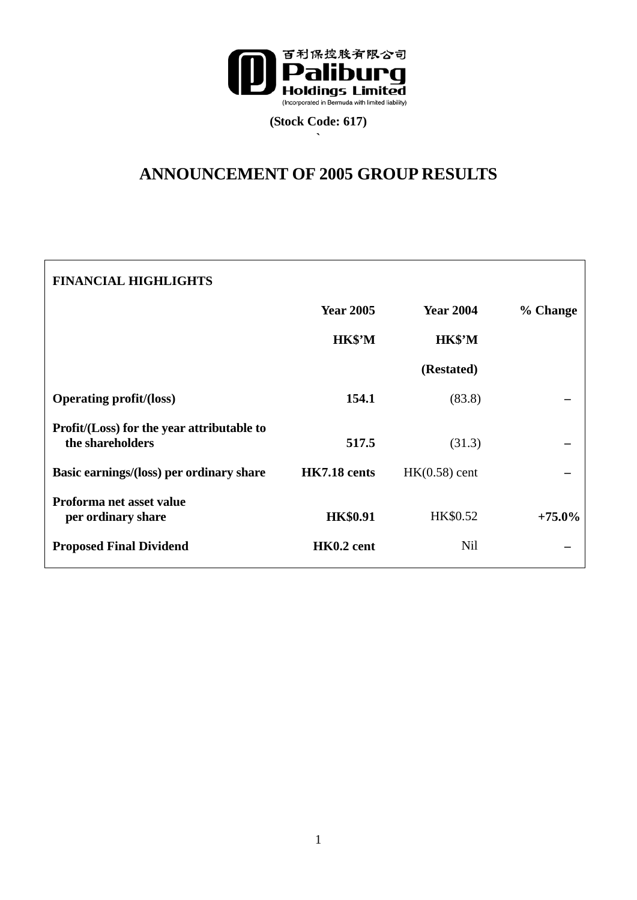

**(Stock Code: 617) `** 

# **ANNOUNCEMENT OF 2005 GROUP RESULTS**

| <b>FINANCIAL HIGHLIGHTS</b>                                    |                  |                  |           |
|----------------------------------------------------------------|------------------|------------------|-----------|
|                                                                | <b>Year 2005</b> | <b>Year 2004</b> | % Change  |
|                                                                | HK\$'M           | HK\$'M           |           |
|                                                                |                  | (Restated)       |           |
| <b>Operating profit/(loss)</b>                                 | 154.1            | (83.8)           |           |
| Profit/(Loss) for the year attributable to<br>the shareholders | 517.5            | (31.3)           |           |
| Basic earnings/(loss) per ordinary share                       | HK7.18 cents     | $HK(0.58)$ cent  |           |
| Proforma net asset value<br>per ordinary share                 | <b>HK\$0.91</b>  | HK\$0.52         | $+75.0\%$ |
| <b>Proposed Final Dividend</b>                                 | HK0.2 cent       | <b>Nil</b>       |           |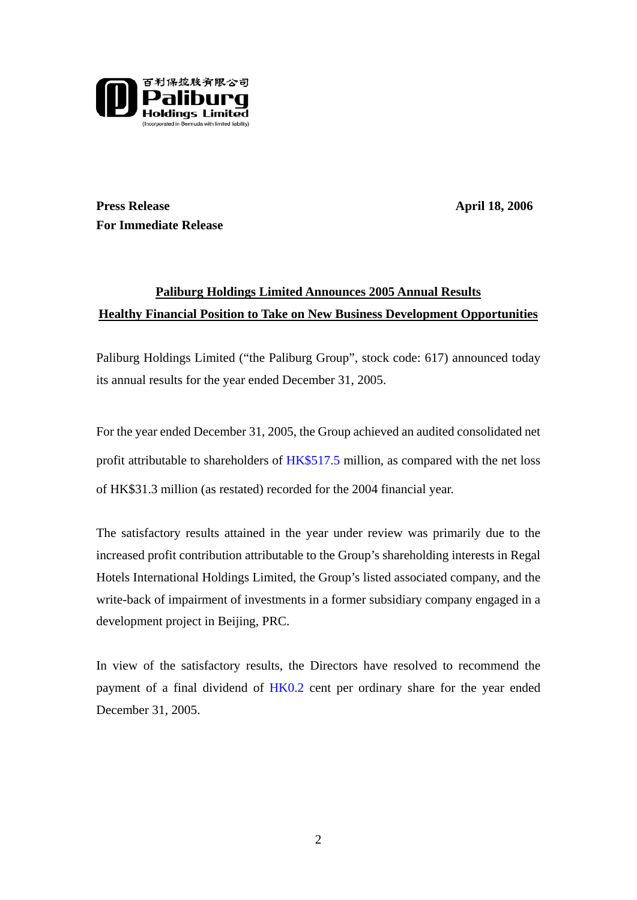

**Press Release** April 18, 2006 **For Immediate Release** 

# **Paliburg Holdings Limited Announces 2005 Annual Results Healthy Financial Position to Take on New Business Development Opportunities**

Paliburg Holdings Limited ("the Paliburg Group", stock code: 617) announced today its annual results for the year ended December 31, 2005.

For the year ended December 31, 2005, the Group achieved an audited consolidated net profit attributable to shareholders of HK\$517.5 million, as compared with the net loss of HK\$31.3 million (as restated) recorded for the 2004 financial year.

The satisfactory results attained in the year under review was primarily due to the increased profit contribution attributable to the Group's shareholding interests in Regal Hotels International Holdings Limited, the Group's listed associated company, and the write-back of impairment of investments in a former subsidiary company engaged in a development project in Beijing, PRC.

In view of the satisfactory results, the Directors have resolved to recommend the payment of a final dividend of HK0.2 cent per ordinary share for the year ended December 31, 2005.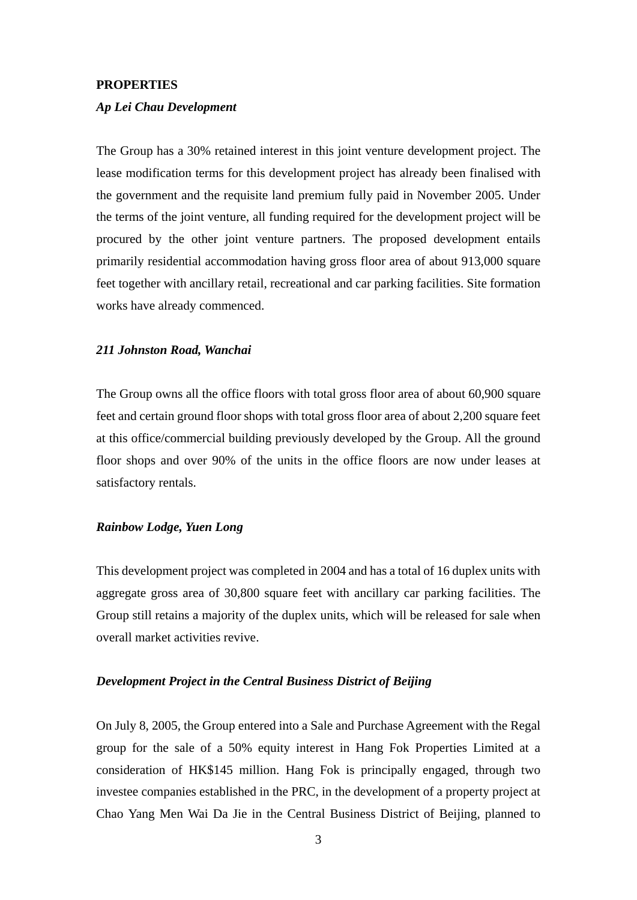# **PROPERTIES**

# *Ap Lei Chau Development*

The Group has a 30% retained interest in this joint venture development project. The lease modification terms for this development project has already been finalised with the government and the requisite land premium fully paid in November 2005. Under the terms of the joint venture, all funding required for the development project will be procured by the other joint venture partners. The proposed development entails primarily residential accommodation having gross floor area of about 913,000 square feet together with ancillary retail, recreational and car parking facilities. Site formation works have already commenced.

## *211 Johnston Road, Wanchai*

The Group owns all the office floors with total gross floor area of about 60,900 square feet and certain ground floor shops with total gross floor area of about 2,200 square feet at this office/commercial building previously developed by the Group. All the ground floor shops and over 90% of the units in the office floors are now under leases at satisfactory rentals.

# *Rainbow Lodge, Yuen Long*

This development project was completed in 2004 and has a total of 16 duplex units with aggregate gross area of 30,800 square feet with ancillary car parking facilities. The Group still retains a majority of the duplex units, which will be released for sale when overall market activities revive.

# *Development Project in the Central Business District of Beijing*

On July 8, 2005, the Group entered into a Sale and Purchase Agreement with the Regal group for the sale of a 50% equity interest in Hang Fok Properties Limited at a consideration of HK\$145 million. Hang Fok is principally engaged, through two investee companies established in the PRC, in the development of a property project at Chao Yang Men Wai Da Jie in the Central Business District of Beijing, planned to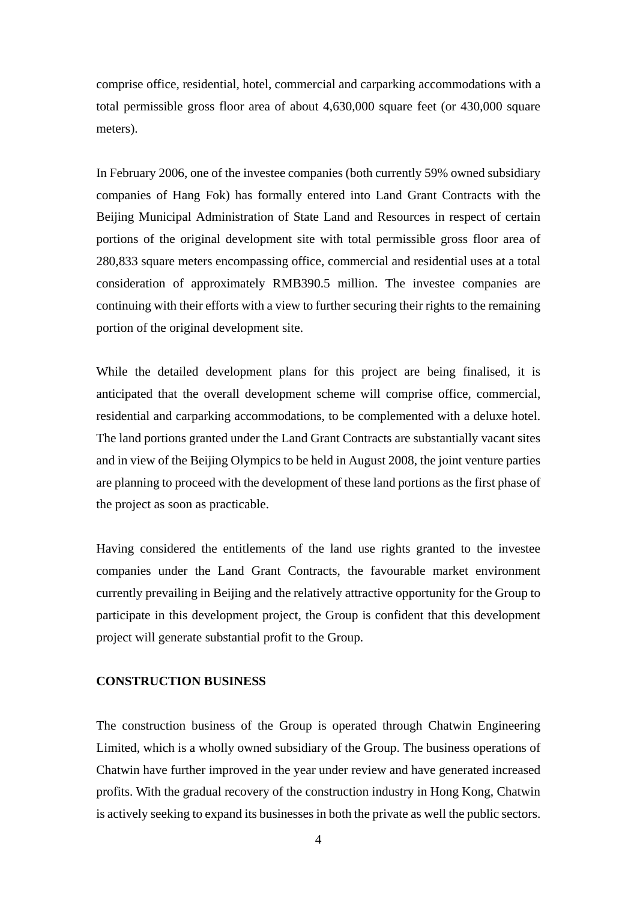comprise office, residential, hotel, commercial and carparking accommodations with a total permissible gross floor area of about 4,630,000 square feet (or 430,000 square meters).

In February 2006, one of the investee companies (both currently 59% owned subsidiary companies of Hang Fok) has formally entered into Land Grant Contracts with the Beijing Municipal Administration of State Land and Resources in respect of certain portions of the original development site with total permissible gross floor area of 280,833 square meters encompassing office, commercial and residential uses at a total consideration of approximately RMB390.5 million. The investee companies are continuing with their efforts with a view to further securing their rights to the remaining portion of the original development site.

While the detailed development plans for this project are being finalised, it is anticipated that the overall development scheme will comprise office, commercial, residential and carparking accommodations, to be complemented with a deluxe hotel. The land portions granted under the Land Grant Contracts are substantially vacant sites and in view of the Beijing Olympics to be held in August 2008, the joint venture parties are planning to proceed with the development of these land portions as the first phase of the project as soon as practicable.

Having considered the entitlements of the land use rights granted to the investee companies under the Land Grant Contracts, the favourable market environment currently prevailing in Beijing and the relatively attractive opportunity for the Group to participate in this development project, the Group is confident that this development project will generate substantial profit to the Group.

## **CONSTRUCTION BUSINESS**

The construction business of the Group is operated through Chatwin Engineering Limited, which is a wholly owned subsidiary of the Group. The business operations of Chatwin have further improved in the year under review and have generated increased profits. With the gradual recovery of the construction industry in Hong Kong, Chatwin is actively seeking to expand its businesses in both the private as well the public sectors.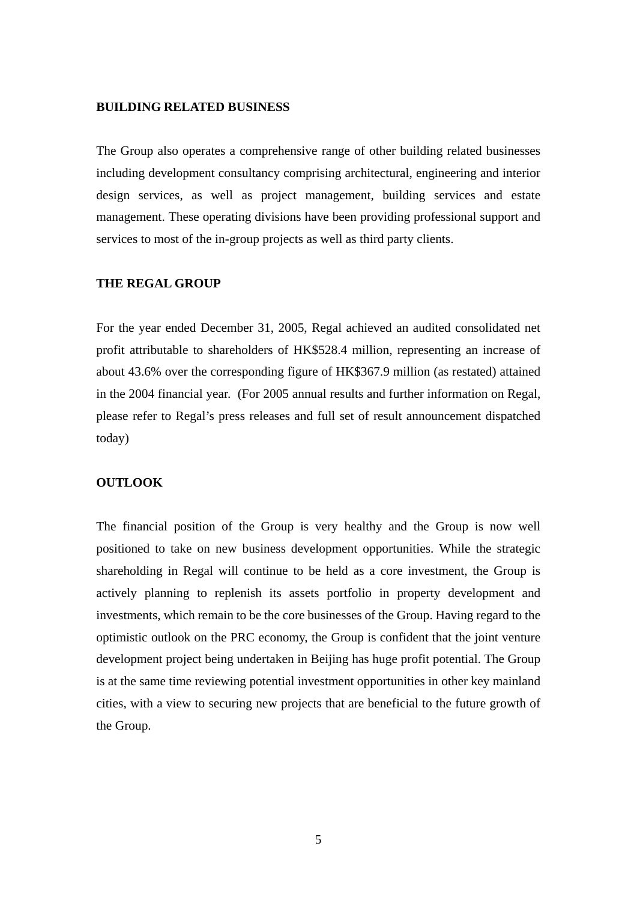# **BUILDING RELATED BUSINESS**

The Group also operates a comprehensive range of other building related businesses including development consultancy comprising architectural, engineering and interior design services, as well as project management, building services and estate management. These operating divisions have been providing professional support and services to most of the in-group projects as well as third party clients.

## **THE REGAL GROUP**

For the year ended December 31, 2005, Regal achieved an audited consolidated net profit attributable to shareholders of HK\$528.4 million, representing an increase of about 43.6% over the corresponding figure of HK\$367.9 million (as restated) attained in the 2004 financial year. (For 2005 annual results and further information on Regal, please refer to Regal's press releases and full set of result announcement dispatched today)

# **OUTLOOK**

The financial position of the Group is very healthy and the Group is now well positioned to take on new business development opportunities. While the strategic shareholding in Regal will continue to be held as a core investment, the Group is actively planning to replenish its assets portfolio in property development and investments, which remain to be the core businesses of the Group. Having regard to the optimistic outlook on the PRC economy, the Group is confident that the joint venture development project being undertaken in Beijing has huge profit potential. The Group is at the same time reviewing potential investment opportunities in other key mainland cities, with a view to securing new projects that are beneficial to the future growth of the Group.